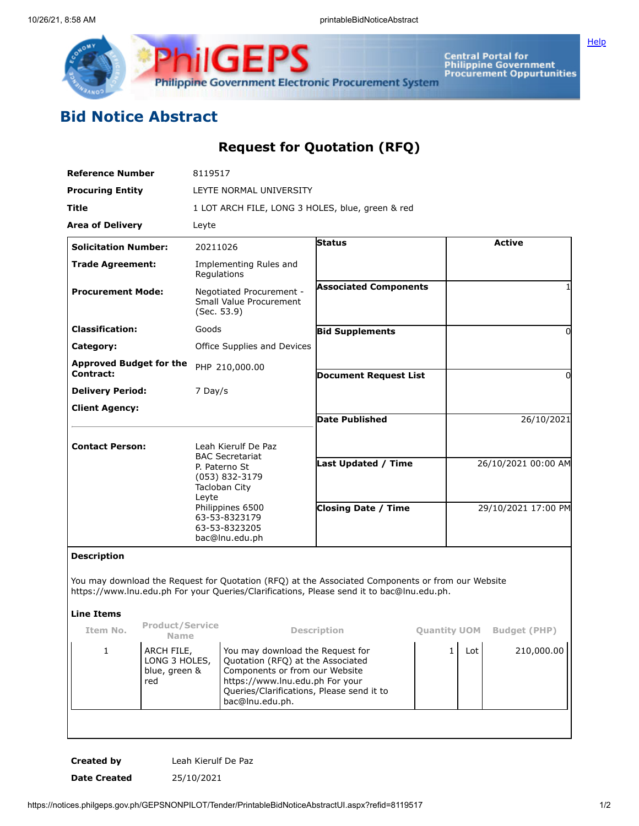

**Central Portal for<br>Philippine Government<br>Procurement Oppurtunities** 

**[Help](javascript:void(window.open()** 

## **Bid Notice Abstract**

## **Request for Quotation (RFQ)**

| <b>Reference Number</b>                                                                                                                                                                        |                                       | 8119517                                                                                                                                                                                 |                              |                                            |                     |                     |  |
|------------------------------------------------------------------------------------------------------------------------------------------------------------------------------------------------|---------------------------------------|-----------------------------------------------------------------------------------------------------------------------------------------------------------------------------------------|------------------------------|--------------------------------------------|---------------------|---------------------|--|
| <b>Procuring Entity</b>                                                                                                                                                                        |                                       | LEYTE NORMAL UNIVERSITY                                                                                                                                                                 |                              |                                            |                     |                     |  |
| Title                                                                                                                                                                                          |                                       | 1 LOT ARCH FILE, LONG 3 HOLES, blue, green & red                                                                                                                                        |                              |                                            |                     |                     |  |
| <b>Area of Delivery</b>                                                                                                                                                                        | Leyte                                 |                                                                                                                                                                                         |                              |                                            |                     |                     |  |
| <b>Solicitation Number:</b>                                                                                                                                                                    | 20211026                              |                                                                                                                                                                                         | <b>Status</b>                |                                            | <b>Active</b>       |                     |  |
| <b>Trade Agreement:</b>                                                                                                                                                                        |                                       | Implementing Rules and<br>Regulations                                                                                                                                                   |                              |                                            |                     |                     |  |
| <b>Procurement Mode:</b>                                                                                                                                                                       |                                       | Negotiated Procurement -<br>Small Value Procurement<br>(Sec. 53.9)                                                                                                                      | <b>Associated Components</b> |                                            |                     |                     |  |
| <b>Classification:</b>                                                                                                                                                                         | Goods                                 |                                                                                                                                                                                         | <b>Bid Supplements</b>       |                                            |                     | 0                   |  |
| Category:                                                                                                                                                                                      |                                       | Office Supplies and Devices                                                                                                                                                             |                              |                                            |                     |                     |  |
| <b>Approved Budget for the</b><br>Contract:                                                                                                                                                    |                                       | PHP 210,000.00                                                                                                                                                                          |                              |                                            |                     |                     |  |
| <b>Delivery Period:</b>                                                                                                                                                                        | 7 Day/s                               |                                                                                                                                                                                         | <b>Document Request List</b> |                                            |                     | 0                   |  |
| <b>Client Agency:</b>                                                                                                                                                                          |                                       |                                                                                                                                                                                         |                              |                                            |                     |                     |  |
|                                                                                                                                                                                                |                                       |                                                                                                                                                                                         | <b>Date Published</b>        |                                            | 26/10/2021          |                     |  |
| <b>Contact Person:</b>                                                                                                                                                                         |                                       | Leah Kierulf De Paz<br><b>BAC Secretariat</b>                                                                                                                                           |                              |                                            |                     |                     |  |
|                                                                                                                                                                                                | Leyte                                 | P. Paterno St<br>(053) 832-3179<br>Tacloban City                                                                                                                                        | Last Updated / Time          |                                            |                     | 26/10/2021 00:00 AM |  |
|                                                                                                                                                                                                |                                       | Philippines 6500<br>63-53-8323179<br>63-53-8323205<br>bac@lnu.edu.ph                                                                                                                    | <b>Closing Date / Time</b>   |                                            | 29/10/2021 17:00 PM |                     |  |
| <b>Description</b>                                                                                                                                                                             |                                       |                                                                                                                                                                                         |                              |                                            |                     |                     |  |
| You may download the Request for Quotation (RFQ) at the Associated Components or from our Website<br>https://www.lnu.edu.ph For your Queries/Clarifications, Please send it to bac@lnu.edu.ph. |                                       |                                                                                                                                                                                         |                              |                                            |                     |                     |  |
| <b>Line Items</b>                                                                                                                                                                              |                                       |                                                                                                                                                                                         |                              |                                            |                     |                     |  |
| Item No.                                                                                                                                                                                       | <b>Product/Service</b><br><b>Name</b> | <b>Description</b>                                                                                                                                                                      |                              | <b>Quantity UOM</b><br><b>Budget (PHP)</b> |                     |                     |  |
| $\mathbf{1}$<br>ARCH FILE,<br>blue, green &<br>red                                                                                                                                             | LONG 3 HOLES,                         | You may download the Request for<br>Quotation (RFQ) at the Associated<br>Components or from our Website<br>https://www.lnu.edu.ph For your<br>Queries/Clarifications, Please send it to |                              |                                            | $\mathbf{1}$<br>Lot | 210,000.00          |  |

**Created by** Leah Kierulf De Paz **Date Created** 25/10/2021

bac@lnu.edu.ph.